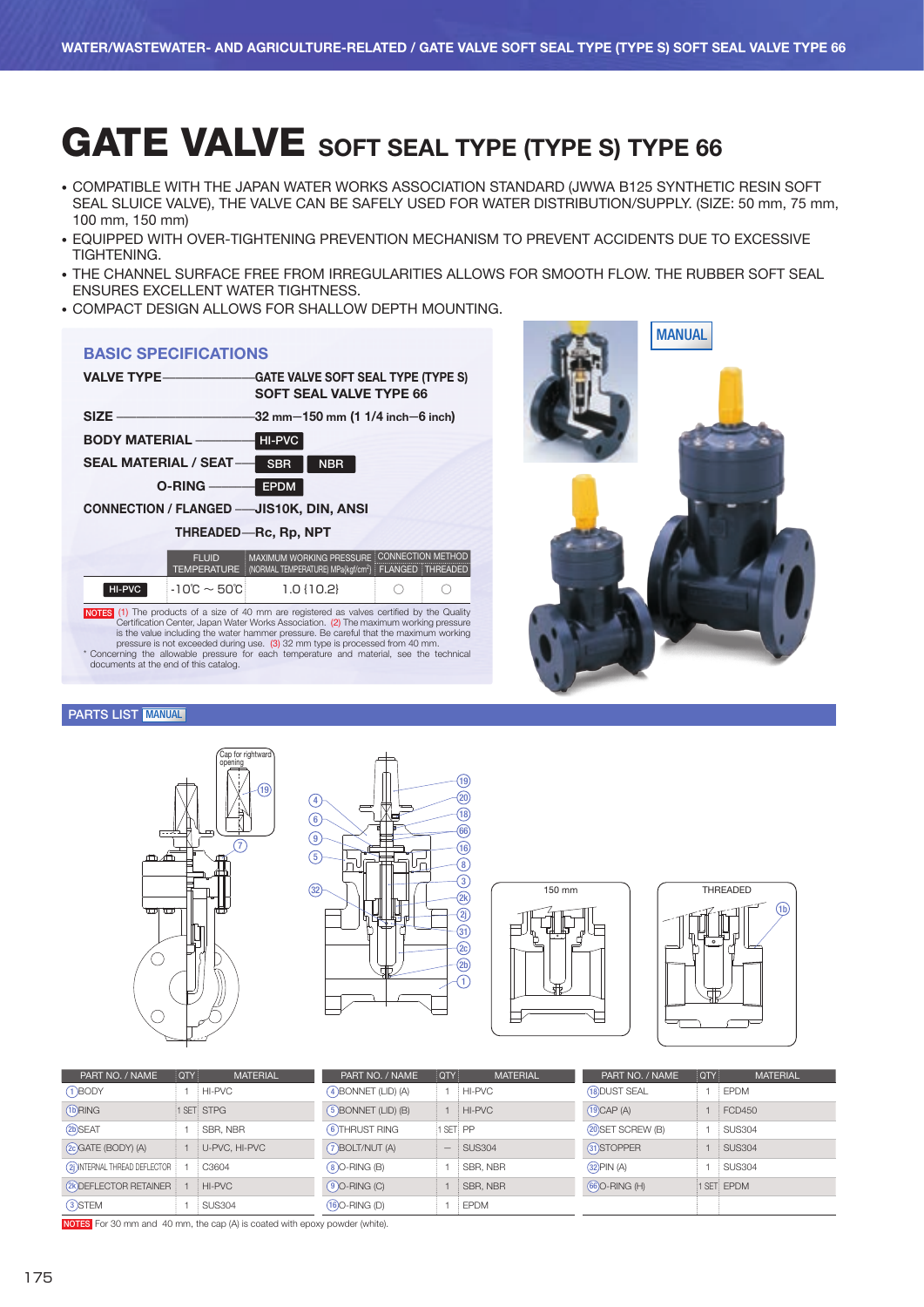# GATE VALVE SOFT SEAL TYPE (TYPE S) TYPE 66

- COMPATIBLE WITH THE JAPAN WATER WORKS ASSOCIATION STANDARD (JWWA B125 SYNTHETIC RESIN SOFT SEAL SLUICE VALVE), THE VALVE CAN BE SAFELY USED FOR WATER DISTRIBUTION/SUPPLY. (SIZE: 50 mm, 75 mm, 100 mm, 150 mm)
- EQUIPPED WITH OVER-TIGHTENING PREVENTION MECHANISM TO PREVENT ACCIDENTS DUE TO EXCESSIVE TIGHTENING.
- THE CHANNEL SURFACE FREE FROM IRREGULARITIES ALLOWS FOR SMOOTH FLOW. THE RUBBER SOFT SEAL ENSURES EXCELLENT WATER TIGHTNESS.
- COMPACT DESIGN ALLOWS FOR SHALLOW DEPTH MOUNTING.

### BASIC SPECIFICATIONS

| VALVE TYPE-                                                                                | <b>GATE VALVE SOFT SEAL TYPE (TYPE S)</b><br><b>SOFT SEAL VALVE TYPE 66</b>                                       |  |
|--------------------------------------------------------------------------------------------|-------------------------------------------------------------------------------------------------------------------|--|
| <b>SIZE</b>                                                                                | -32 mm—150 mm (1 1/4 inch—6 inch)                                                                                 |  |
| <b>BODY MATERIAL —</b>                                                                     | HI-PVC                                                                                                            |  |
| <b>SEAL MATERIAL / SEAT-</b>                                                               | <b>NBR</b><br><b>SBR</b>                                                                                          |  |
| $O-RING$ —                                                                                 | <b>EPDM</b>                                                                                                       |  |
| <b>CONNECTION / FLANGED -- JIS10K, DIN, ANSI</b>                                           |                                                                                                                   |  |
|                                                                                            | THREADED-Rc, Rp, NPT                                                                                              |  |
| <b>FLUID</b><br><b>TEMPERATURE</b>                                                         | MAXIMUM WORKING PRESSURE CONNECTION METHOD<br>(NORMAL TEMPERATURE) MPa{kqf/cm <sup>2</sup> }   FLANGED   THREADED |  |
| $-10^{\circ}C \sim 50^{\circ}C$<br>HI-PVC                                                  | $1.0$ { $10.2$ }                                                                                                  |  |
| $10770$ (4) The number of a city of $40$ non-ought-und as which and indicated by the Ought |                                                                                                                   |  |

**NOTES** (1) The products of a size of 40 mm are registered as valves certified by the Quality Certification Center, Japan Water Works Association. (2) The maximum working pressure is the value including the water hammer pr documents at the end of this catalog.



#### PARTS LIST MANUAL









| PART NO. / NAME                | <b>OTY</b> | <b>MATERIAL</b> | PART NO. / NAME        | <b>OTY!</b> | <b>MATERIAL</b> | PART NO. / NAME    | <b>OTY</b> | <b>MATERIAL</b> |
|--------------------------------|------------|-----------------|------------------------|-------------|-----------------|--------------------|------------|-----------------|
| $(1)$ BODY                     |            | HI-PVC          | $(4)$ BONNET (LID) (A) |             | HI-PVC          | (18) DUST SEAL     |            | <b>EPDM</b>     |
| (1b)RING                       |            | 1 SET: STPG     | $(5)$ BONNET (LID) (B) |             | HI-PVC          | $(19)$ CAP $(A)$   |            | <b>FCD450</b>   |
| (2b)SEAT                       |            | SBR, NBR        | 6) THRUST RING         | 1 SET: PP   |                 | (20) SET SCREW (B) |            | SUS304          |
| (20 GATE (BODY) (A)            |            | U-PVC, HI-PVC   | (7) BOLT/NUT (A)       | —           | SUS304          | 31) STOPPER        |            | SUS304          |
| (2) INTERNAL THREAD DEFLECTOR  |            | C3604           | $(8)$ O-RING $(B)$     |             | SBR, NBR        | $(32)$ PIN $(A)$   |            | <b>SUS304</b>   |
| <b>(2K) DEFLECTOR RETAINER</b> |            | HI-PVC          | $(9)$ O-RING $(C)$     |             | SBR, NBR        | (66) O-RING (H)    |            | 1 SET: EPDM     |
| 3) STEM                        |            | <b>SUS304</b>   | $(16)$ O-RING $(D)$    |             | <b>EPDM</b>     |                    |            |                 |

NOTES For 30 mm and 40 mm, the cap (A) is coated with epoxy powder (white).